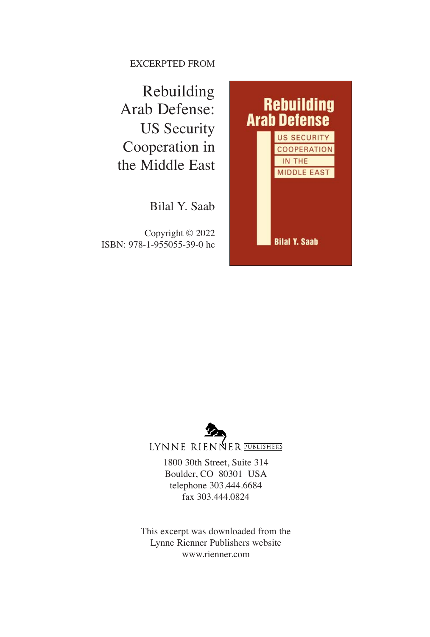EXCERPTED FROM

Rebuilding Arab Defense: US Security Cooperation in the Middle East

Bilal Y. Saab

Copyright © 2022 ISBN: 978-1-955055-39-0 hc

## **Rebuilding<br>Arab Defense** US SECURITY **COOPERATION** IN THE **MIDDLE EAST Bilal Y. Saab**



LYNNE RIENNER PUBLISHERS

1800 30th Street, Suite 314 Boulder, CO 80301 USA telephone 303.444.6684 fax 303.444.0824

This excerpt was downloaded from the Lynne Rienner Publishers website www.rienner.com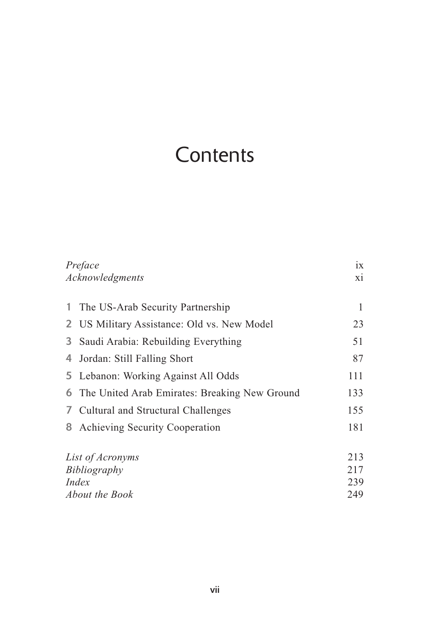### **Contents**

| Preface<br>Acknowledgments |                                                        | 1X  |
|----------------------------|--------------------------------------------------------|-----|
|                            |                                                        | xi  |
|                            |                                                        |     |
| 1.                         | The US-Arab Security Partnership                       | 1   |
|                            | 2 US Military Assistance: Old vs. New Model            | 23  |
| 3                          | Saudi Arabia: Rebuilding Everything                    | 51  |
| 4                          | Jordan: Still Falling Short                            | 87  |
|                            | 5 Lebanon: Working Against All Odds                    | 111 |
|                            | <b>6</b> The United Arab Emirates: Breaking New Ground | 133 |
|                            | 7 Cultural and Structural Challenges                   | 155 |
|                            | 8 Achieving Security Cooperation                       | 181 |
| List of Acronyms           |                                                        | 213 |
| Bibliography               |                                                        | 217 |
| Index                      |                                                        | 239 |
| <i>About the Book</i>      |                                                        | 249 |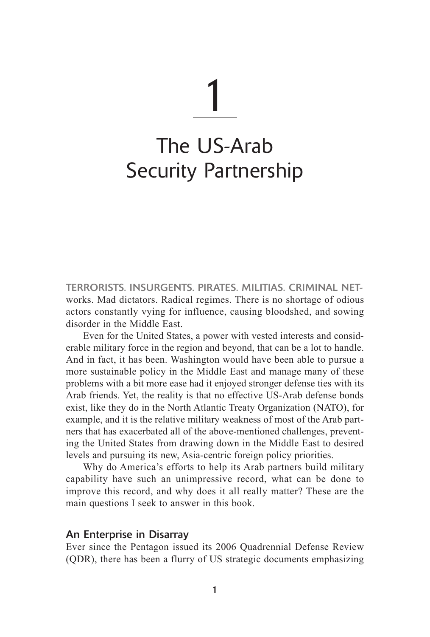# 1

## The US-Arab Security Partnership

TERRORISTS. INSURGENTS. PIRATES. MILITIAS. CRIMINAL NETworks. Mad dictators. Radical regimes. There is no shortage of odious actors constantly vying for influence, causing bloodshed, and sowing disorder in the Middle East.

Even for the United States, a power with vested interests and considerable military force in the region and beyond, that can be a lot to handle. And in fact, it has been. Washington would have been able to pursue a more sustainable policy in the Middle East and manage many of these problems with a bit more ease had it enjoyed stronger defense ties with its Arab friends. Yet, the reality is that no effective US-Arab defense bonds exist, like they do in the North Atlantic Treaty Organization (NATO), for example, and it is the relative military weakness of most of the Arab partners that has exacerbated all of the above-mentioned challenges, preventing the United States from drawing down in the Middle East to desired levels and pursuing its new, Asia-centric foreign policy priorities.

Why do America's efforts to help its Arab partners build military capability have such an unimpressive record, what can be done to improve this record, and why does it all really matter? These are the main questions I seek to answer in this book.

#### An Enterprise in Disarray

Ever since the Pentagon issued its 2006 Quadrennial Defense Review (QDR), there has been a flurry of US strategic documents emphasizing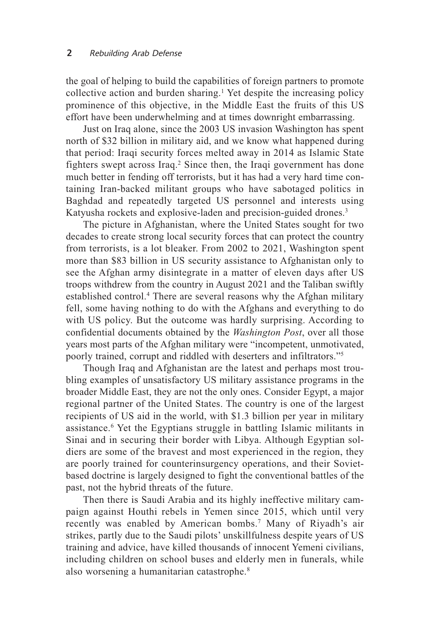the goal of helping to build the capabilities of foreign partners to promote collective action and burden sharing.1 Yet despite the increasing policy prominence of this objective, in the Middle East the fruits of this US effort have been underwhelming and at times downright embarrassing.

Just on Iraq alone, since the 2003 US invasion Washington has spent north of \$32 billion in military aid, and we know what happened during that period: Iraqi security forces melted away in 2014 as Islamic State fighters swept across Iraq.<sup>2</sup> Since then, the Iraqi government has done much better in fending off terrorists, but it has had a very hard time containing Iran-backed militant groups who have sabotaged politics in Baghdad and repeatedly targeted US personnel and interests using Katyusha rockets and explosive-laden and precision-guided drones.<sup>3</sup>

The picture in Afghanistan, where the United States sought for two decades to create strong local security forces that can protect the country from terrorists, is a lot bleaker. From 2002 to 2021, Washington spent more than \$83 billion in US security assistance to Afghanistan only to see the Afghan army disintegrate in a matter of eleven days after US troops withdrew from the country in August 2021 and the Taliban swiftly established control.<sup>4</sup> There are several reasons why the Afghan military fell, some having nothing to do with the Afghans and everything to do with US policy. But the outcome was hardly surprising. According to confidential documents obtained by the *Washington Post*, over all those years most parts of the Afghan military were "incompetent, unmotivated, poorly trained, corrupt and riddled with deserters and infiltrators."5

Though Iraq and Afghanistan are the latest and perhaps most troubling examples of unsatisfactory US military assistance programs in the broader Middle East, they are not the only ones. Consider Egypt, a major regional partner of the United States. The country is one of the largest recipients of US aid in the world, with \$1.3 billion per year in military assistance.6 Yet the Egyptians struggle in battling Islamic militants in Sinai and in securing their border with Libya. Although Egyptian soldiers are some of the bravest and most experienced in the region, they are poorly trained for counterinsurgency operations, and their Sovietbased doctrine is largely designed to fight the conventional battles of the past, not the hybrid threats of the future.

Then there is Saudi Arabia and its highly ineffective military campaign against Houthi rebels in Yemen since 2015, which until very recently was enabled by American bombs.<sup>7</sup> Many of Riyadh's air strikes, partly due to the Saudi pilots' unskillfulness despite years of US training and advice, have killed thousands of innocent Yemeni civilians, including children on school buses and elderly men in funerals, while also worsening a humanitarian catastrophe.<sup>8</sup>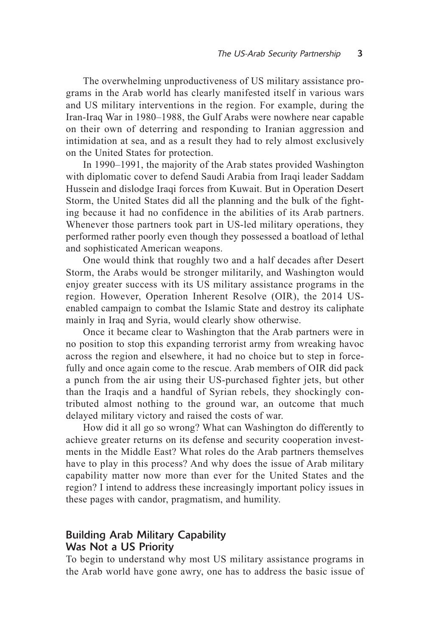The overwhelming unproductiveness of US military assistance programs in the Arab world has clearly manifested itself in various wars and US military interventions in the region. For example, during the Iran-Iraq War in 1980–1988, the Gulf Arabs were nowhere near capable on their own of deterring and responding to Iranian aggression and intimidation at sea, and as a result they had to rely almost exclusively on the United States for protection.

In 1990–1991, the majority of the Arab states provided Washington with diplomatic cover to defend Saudi Arabia from Iraqi leader Saddam Hussein and dislodge Iraqi forces from Kuwait. But in Operation Desert Storm, the United States did all the planning and the bulk of the fighting because it had no confidence in the abilities of its Arab partners. Whenever those partners took part in US-led military operations, they performed rather poorly even though they possessed a boatload of lethal and sophisticated American weapons.

One would think that roughly two and a half decades after Desert Storm, the Arabs would be stronger militarily, and Washington would enjoy greater success with its US military assistance programs in the region. However, Operation Inherent Resolve (OIR), the 2014 USenabled campaign to combat the Islamic State and destroy its caliphate mainly in Iraq and Syria, would clearly show otherwise.

Once it became clear to Washington that the Arab partners were in no position to stop this expanding terrorist army from wreaking havoc across the region and elsewhere, it had no choice but to step in forcefully and once again come to the rescue. Arab members of OIR did pack a punch from the air using their US-purchased fighter jets, but other than the Iraqis and a handful of Syrian rebels, they shockingly contributed almost nothing to the ground war, an outcome that much delayed military victory and raised the costs of war.

How did it all go so wrong? What can Washington do differently to achieve greater returns on its defense and security cooperation investments in the Middle East? What roles do the Arab partners themselves have to play in this process? And why does the issue of Arab military capability matter now more than ever for the United States and the region? I intend to address these increasingly important policy issues in these pages with candor, pragmatism, and humility.

#### Building Arab Military Capability Was Not a US Priority

To begin to understand why most US military assistance programs in the Arab world have gone awry, one has to address the basic issue of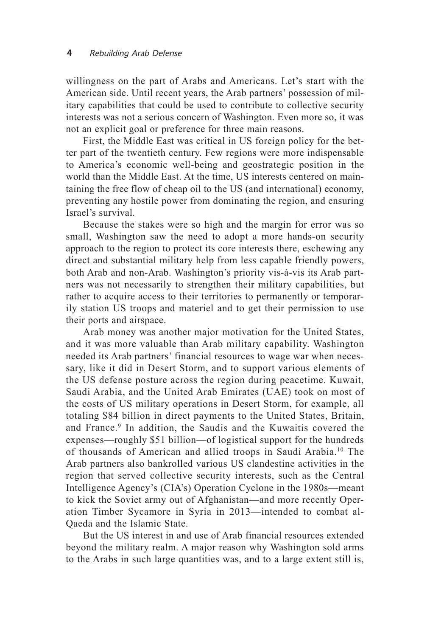willingness on the part of Arabs and Americans. Let's start with the American side. Until recent years, the Arab partners' possession of military capabilities that could be used to contribute to collective security interests was not a serious concern of Washington. Even more so, it was not an explicit goal or preference for three main reasons.

First, the Middle East was critical in US foreign policy for the better part of the twentieth century. Few regions were more indispensable to America's economic well-being and geostrategic position in the world than the Middle East. At the time, US interests centered on maintaining the free flow of cheap oil to the US (and international) economy, preventing any hostile power from dominating the region, and ensuring Israel's survival.

Because the stakes were so high and the margin for error was so small, Washington saw the need to adopt a more hands-on security approach to the region to protect its core interests there, eschewing any direct and substantial military help from less capable friendly powers, both Arab and non-Arab. Washington's priority vis-à-vis its Arab partners was not necessarily to strengthen their military capabilities, but rather to acquire access to their territories to permanently or temporarily station US troops and materiel and to get their permission to use their ports and airspace.

Arab money was another major motivation for the United States, and it was more valuable than Arab military capability. Washington needed its Arab partners' financial resources to wage war when necessary, like it did in Desert Storm, and to support various elements of the US defense posture across the region during peacetime. Kuwait, Saudi Arabia, and the United Arab Emirates (UAE) took on most of the costs of US military operations in Desert Storm, for example, all totaling \$84 billion in direct payments to the United States, Britain, and France.<sup>9</sup> In addition, the Saudis and the Kuwaitis covered the expenses—roughly \$51 billion—of logistical support for the hundreds of thousands of American and allied troops in Saudi Arabia.10 The Arab partners also bankrolled various US clandestine activities in the region that served collective security interests, such as the Central Intelligence Agency's (CIA's) Operation Cyclone in the 1980s—meant to kick the Soviet army out of Afghanistan—and more recently Operation Timber Sycamore in Syria in 2013—intended to combat al-Qaeda and the Islamic State.

But the US interest in and use of Arab financial resources extended beyond the military realm. A major reason why Washington sold arms to the Arabs in such large quantities was, and to a large extent still is,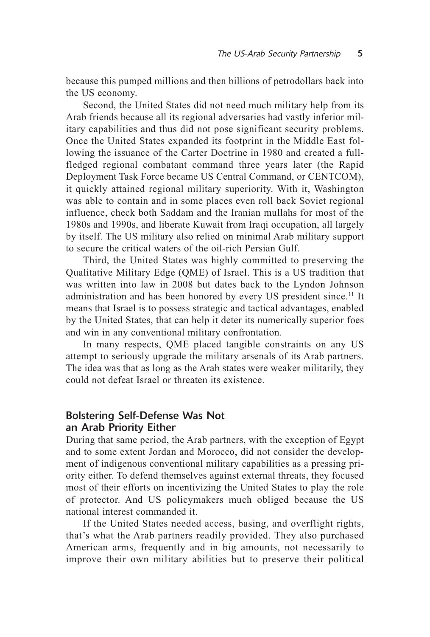because this pumped millions and then billions of petrodollars back into the US economy.

Second, the United States did not need much military help from its Arab friends because all its regional adversaries had vastly inferior military capabilities and thus did not pose significant security problems. Once the United States expanded its footprint in the Middle East following the issuance of the Carter Doctrine in 1980 and created a fullfledged regional combatant command three years later (the Rapid Deployment Task Force became US Central Command, or CENTCOM), it quickly attained regional military superiority. With it, Washington was able to contain and in some places even roll back Soviet regional influence, check both Saddam and the Iranian mullahs for most of the 1980s and 1990s, and liberate Kuwait from Iraqi occupation, all largely by itself. The US military also relied on minimal Arab military support to secure the critical waters of the oil-rich Persian Gulf.

Third, the United States was highly committed to preserving the Qualitative Military Edge (QME) of Israel. This is a US tradition that was written into law in 2008 but dates back to the Lyndon Johnson administration and has been honored by every US president since.<sup>11</sup> It means that Israel is to possess strategic and tactical advantages, enabled by the United States, that can help it deter its numerically superior foes and win in any conventional military confrontation.

In many respects, QME placed tangible constraints on any US attempt to seriously upgrade the military arsenals of its Arab partners. The idea was that as long as the Arab states were weaker militarily, they could not defeat Israel or threaten its existence.

#### Bolstering Self-Defense Was Not an Arab Priority Either

During that same period, the Arab partners, with the exception of Egypt and to some extent Jordan and Morocco, did not consider the development of indigenous conventional military capabilities as a pressing priority either. To defend themselves against external threats, they focused most of their efforts on incentivizing the United States to play the role of protector. And US policymakers much obliged because the US national interest commanded it.

If the United States needed access, basing, and overflight rights, that's what the Arab partners readily provided. They also purchased American arms, frequently and in big amounts, not necessarily to improve their own military abilities but to preserve their political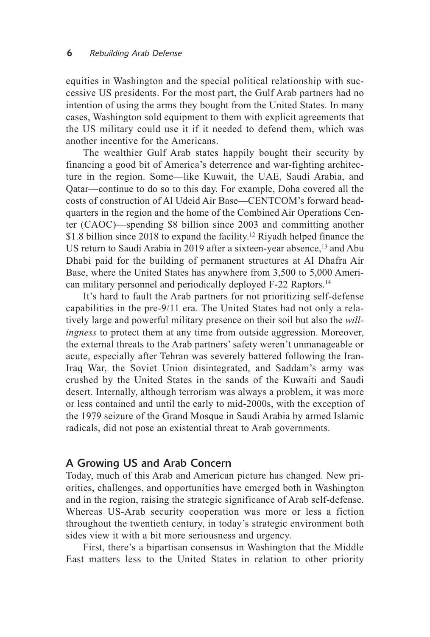equities in Washington and the special political relationship with successive US presidents. For the most part, the Gulf Arab partners had no intention of using the arms they bought from the United States. In many cases, Washington sold equipment to them with explicit agreements that the US military could use it if it needed to defend them, which was another incentive for the Americans.

The wealthier Gulf Arab states happily bought their security by financing a good bit of America's deterrence and war-fighting architecture in the region. Some—like Kuwait, the UAE, Saudi Arabia, and Qatar—continue to do so to this day. For example, Doha covered all the costs of construction of Al Udeid Air Base—CENTCOM's forward headquarters in the region and the home of the Combined Air Operations Center (CAOC)—spending \$8 billion since 2003 and committing another \$1.8 billion since 2018 to expand the facility.<sup>12</sup> Riyadh helped finance the US return to Saudi Arabia in 2019 after a sixteen-year absence,<sup>13</sup> and Abu Dhabi paid for the building of permanent structures at Al Dhafra Air Base, where the United States has anywhere from 3,500 to 5,000 American military personnel and periodically deployed F-22 Raptors.14

It's hard to fault the Arab partners for not prioritizing self-defense capabilities in the pre-9/11 era. The United States had not only a relatively large and powerful military presence on their soil but also the *willingness* to protect them at any time from outside aggression. Moreover, the external threats to the Arab partners' safety weren't unmanageable or acute, especially after Tehran was severely battered following the Iran-Iraq War, the Soviet Union disintegrated, and Saddam's army was crushed by the United States in the sands of the Kuwaiti and Saudi desert. Internally, although terrorism was always a problem, it was more or less contained and until the early to mid-2000s, with the exception of the 1979 seizure of the Grand Mosque in Saudi Arabia by armed Islamic radicals, did not pose an existential threat to Arab governments.

#### A Growing US and Arab Concern

Today, much of this Arab and American picture has changed. New priorities, challenges, and opportunities have emerged both in Washington and in the region, raising the strategic significance of Arab self-defense. Whereas US-Arab security cooperation was more or less a fiction throughout the twentieth century, in today's strategic environment both sides view it with a bit more seriousness and urgency.

First, there's a bipartisan consensus in Washington that the Middle East matters less to the United States in relation to other priority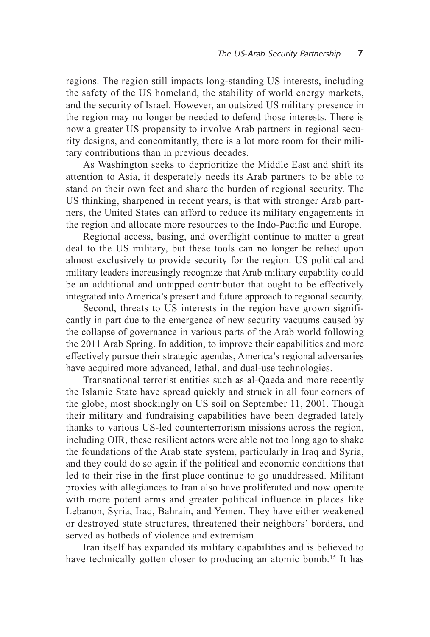regions. The region still impacts long-standing US interests, including the safety of the US homeland, the stability of world energy markets, and the security of Israel. However, an outsized US military presence in the region may no longer be needed to defend those interests. There is now a greater US propensity to involve Arab partners in regional security designs, and concomitantly, there is a lot more room for their military contributions than in previous decades.

As Washington seeks to deprioritize the Middle East and shift its attention to Asia, it desperately needs its Arab partners to be able to stand on their own feet and share the burden of regional security. The US thinking, sharpened in recent years, is that with stronger Arab partners, the United States can afford to reduce its military engagements in the region and allocate more resources to the Indo-Pacific and Europe.

Regional access, basing, and overflight continue to matter a great deal to the US military, but these tools can no longer be relied upon almost exclusively to provide security for the region. US political and military leaders increasingly recognize that Arab military capability could be an additional and untapped contributor that ought to be effectively integrated into America's present and future approach to regional security.

Second, threats to US interests in the region have grown significantly in part due to the emergence of new security vacuums caused by the collapse of governance in various parts of the Arab world following the 2011 Arab Spring. In addition, to improve their capabilities and more effectively pursue their strategic agendas, America's regional adversaries have acquired more advanced, lethal, and dual-use technologies.

Transnational terrorist entities such as al-Qaeda and more recently the Islamic State have spread quickly and struck in all four corners of the globe, most shockingly on US soil on September 11, 2001. Though their military and fundraising capabilities have been degraded lately thanks to various US-led counterterrorism missions across the region, including OIR, these resilient actors were able not too long ago to shake the foundations of the Arab state system, particularly in Iraq and Syria, and they could do so again if the political and economic conditions that led to their rise in the first place continue to go unaddressed. Militant proxies with allegiances to Iran also have proliferated and now operate with more potent arms and greater political influence in places like Lebanon, Syria, Iraq, Bahrain, and Yemen. They have either weakened or destroyed state structures, threatened their neighbors' borders, and served as hotbeds of violence and extremism.

Iran itself has expanded its military capabilities and is believed to have technically gotten closer to producing an atomic bomb.<sup>15</sup> It has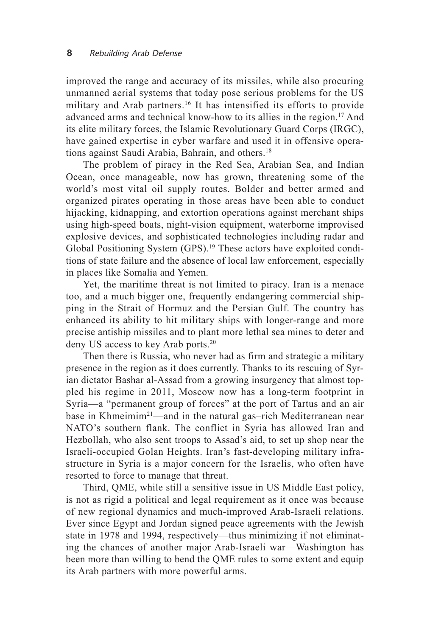improved the range and accuracy of its missiles, while also procuring unmanned aerial systems that today pose serious problems for the US military and Arab partners.<sup>16</sup> It has intensified its efforts to provide advanced arms and technical know-how to its allies in the region.17 And its elite military forces, the Islamic Revolutionary Guard Corps (IRGC), have gained expertise in cyber warfare and used it in offensive operations against Saudi Arabia, Bahrain, and others.18

The problem of piracy in the Red Sea, Arabian Sea, and Indian Ocean, once manageable, now has grown, threatening some of the world's most vital oil supply routes. Bolder and better armed and organized pirates operating in those areas have been able to conduct hijacking, kidnapping, and extortion operations against merchant ships using high-speed boats, night-vision equipment, waterborne improvised explosive devices, and sophisticated technologies including radar and Global Positioning System (GPS).19 These actors have exploited conditions of state failure and the absence of local law enforcement, especially in places like Somalia and Yemen.

Yet, the maritime threat is not limited to piracy. Iran is a menace too, and a much bigger one, frequently endangering commercial shipping in the Strait of Hormuz and the Persian Gulf. The country has enhanced its ability to hit military ships with longer-range and more precise antiship missiles and to plant more lethal sea mines to deter and deny US access to key Arab ports.20

Then there is Russia, who never had as firm and strategic a military presence in the region as it does currently. Thanks to its rescuing of Syrian dictator Bashar al-Assad from a growing insurgency that almost toppled his regime in 2011, Moscow now has a long-term footprint in Syria—a "permanent group of forces" at the port of Tartus and an air base in Khmeimim<sup>21</sup>—and in the natural gas–rich Mediterranean near NATO's southern flank. The conflict in Syria has allowed Iran and Hezbollah, who also sent troops to Assad's aid, to set up shop near the Israeli-occupied Golan Heights. Iran's fast-developing military infrastructure in Syria is a major concern for the Israelis, who often have resorted to force to manage that threat.

Third, QME, while still a sensitive issue in US Middle East policy, is not as rigid a political and legal requirement as it once was because of new regional dynamics and much-improved Arab-Israeli relations. Ever since Egypt and Jordan signed peace agreements with the Jewish state in 1978 and 1994, respectively—thus minimizing if not eliminating the chances of another major Arab-Israeli war—Washington has been more than willing to bend the QME rules to some extent and equip its Arab partners with more powerful arms.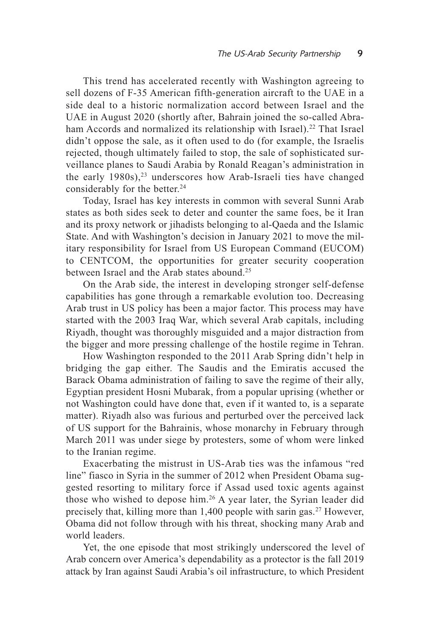This trend has accelerated recently with Washington agreeing to sell dozens of F-35 American fifth-generation aircraft to the UAE in a side deal to a historic normalization accord between Israel and the UAE in August 2020 (shortly after, Bahrain joined the so-called Abraham Accords and normalized its relationship with Israel).<sup>22</sup> That Israel didn't oppose the sale, as it often used to do (for example, the Israelis rejected, though ultimately failed to stop, the sale of sophisticated surveillance planes to Saudi Arabia by Ronald Reagan's administration in the early  $1980s$ ,<sup>23</sup> underscores how Arab-Israeli ties have changed considerably for the better.<sup>24</sup>

Today, Israel has key interests in common with several Sunni Arab states as both sides seek to deter and counter the same foes, be it Iran and its proxy network or jihadists belonging to al-Qaeda and the Islamic State. And with Washington's decision in January 2021 to move the military responsibility for Israel from US European Command (EUCOM) to CENTCOM, the opportunities for greater security cooperation between Israel and the Arab states abound.25

On the Arab side, the interest in developing stronger self-defense capabilities has gone through a remarkable evolution too. Decreasing Arab trust in US policy has been a major factor. This process may have started with the 2003 Iraq War, which several Arab capitals, including Riyadh, thought was thoroughly misguided and a major distraction from the bigger and more pressing challenge of the hostile regime in Tehran.

How Washington responded to the 2011 Arab Spring didn't help in bridging the gap either. The Saudis and the Emiratis accused the Barack Obama administration of failing to save the regime of their ally, Egyptian president Hosni Mubarak, from a popular uprising (whether or not Washington could have done that, even if it wanted to, is a separate matter). Riyadh also was furious and perturbed over the perceived lack of US support for the Bahrainis, whose monarchy in February through March 2011 was under siege by protesters, some of whom were linked to the Iranian regime.

Exacerbating the mistrust in US-Arab ties was the infamous "red line" fiasco in Syria in the summer of 2012 when President Obama suggested resorting to military force if Assad used toxic agents against those who wished to depose him.26 A year later, the Syrian leader did precisely that, killing more than 1,400 people with sarin gas.<sup>27</sup> However, Obama did not follow through with his threat, shocking many Arab and world leaders.

Yet, the one episode that most strikingly underscored the level of Arab concern over America's dependability as a protector is the fall 2019 attack by Iran against Saudi Arabia's oil infrastructure, to which President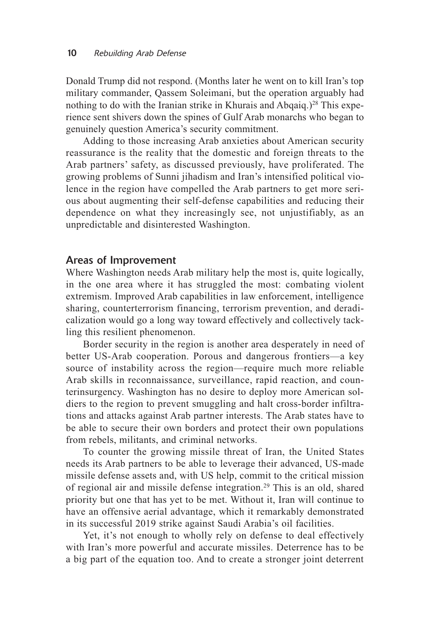Donald Trump did not respond. (Months later he went on to kill Iran's top military commander, Qassem Soleimani, but the operation arguably had nothing to do with the Iranian strike in Khurais and Abqaiq.)<sup>28</sup> This experience sent shivers down the spines of Gulf Arab monarchs who began to genuinely question America's security commitment.

Adding to those increasing Arab anxieties about American security reassurance is the reality that the domestic and foreign threats to the Arab partners' safety, as discussed previously, have proliferated. The growing problems of Sunni jihadism and Iran's intensified political violence in the region have compelled the Arab partners to get more serious about augmenting their self-defense capabilities and reducing their dependence on what they increasingly see, not unjustifiably, as an unpredictable and disinterested Washington.

#### Areas of Improvement

Where Washington needs Arab military help the most is, quite logically, in the one area where it has struggled the most: combating violent extremism. Improved Arab capabilities in law enforcement, intelligence sharing, counterterrorism financing, terrorism prevention, and deradicalization would go a long way toward effectively and collectively tackling this resilient phenomenon.

Border security in the region is another area desperately in need of better US-Arab cooperation. Porous and dangerous frontiers—a key source of instability across the region—require much more reliable Arab skills in reconnaissance, surveillance, rapid reaction, and counterinsurgency. Washington has no desire to deploy more American soldiers to the region to prevent smuggling and halt cross-border infiltrations and attacks against Arab partner interests. The Arab states have to be able to secure their own borders and protect their own populations from rebels, militants, and criminal networks.

To counter the growing missile threat of Iran, the United States needs its Arab partners to be able to leverage their advanced, US-made missile defense assets and, with US help, commit to the critical mission of regional air and missile defense integration.<sup>29</sup> This is an old, shared priority but one that has yet to be met. Without it, Iran will continue to have an offensive aerial advantage, which it remarkably demonstrated in its successful 2019 strike against Saudi Arabia's oil facilities.

Yet, it's not enough to wholly rely on defense to deal effectively with Iran's more powerful and accurate missiles. Deterrence has to be a big part of the equation too. And to create a stronger joint deterrent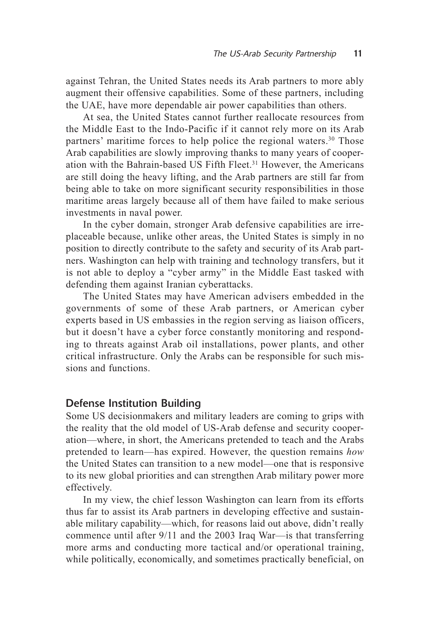against Tehran, the United States needs its Arab partners to more ably augment their offensive capabilities. Some of these partners, including the UAE, have more dependable air power capabilities than others.

At sea, the United States cannot further reallocate resources from the Middle East to the Indo-Pacific if it cannot rely more on its Arab partners' maritime forces to help police the regional waters.<sup>30</sup> Those Arab capabilities are slowly improving thanks to many years of cooperation with the Bahrain-based US Fifth Fleet.<sup>31</sup> However, the Americans are still doing the heavy lifting, and the Arab partners are still far from being able to take on more significant security responsibilities in those maritime areas largely because all of them have failed to make serious investments in naval power.

In the cyber domain, stronger Arab defensive capabilities are irreplaceable because, unlike other areas, the United States is simply in no position to directly contribute to the safety and security of its Arab partners. Washington can help with training and technology transfers, but it is not able to deploy a "cyber army" in the Middle East tasked with defending them against Iranian cyberattacks.

The United States may have American advisers embedded in the governments of some of these Arab partners, or American cyber experts based in US embassies in the region serving as liaison officers, but it doesn't have a cyber force constantly monitoring and responding to threats against Arab oil installations, power plants, and other critical infrastructure. Only the Arabs can be responsible for such missions and functions.

#### Defense Institution Building

Some US decisionmakers and military leaders are coming to grips with the reality that the old model of US-Arab defense and security cooperation—where, in short, the Americans pretended to teach and the Arabs pretended to learn—has expired. However, the question remains *how* the United States can transition to a new model—one that is responsive to its new global priorities and can strengthen Arab military power more effectively.

In my view, the chief lesson Washington can learn from its efforts thus far to assist its Arab partners in developing effective and sustainable military capability—which, for reasons laid out above, didn't really commence until after 9/11 and the 2003 Iraq War—is that transferring more arms and conducting more tactical and/or operational training, while politically, economically, and sometimes practically beneficial, on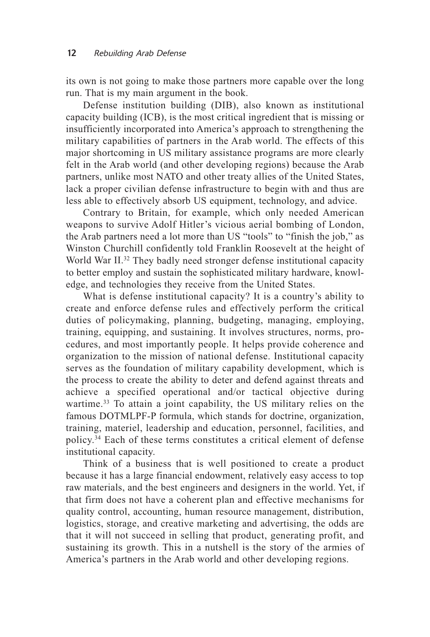its own is not going to make those partners more capable over the long run. That is my main argument in the book.

Defense institution building (DIB), also known as institutional capacity building (ICB), is the most critical ingredient that is missing or insufficiently incorporated into America's approach to strengthening the military capabilities of partners in the Arab world. The effects of this major shortcoming in US military assistance programs are more clearly felt in the Arab world (and other developing regions) because the Arab partners, unlike most NATO and other treaty allies of the United States, lack a proper civilian defense infrastructure to begin with and thus are less able to effectively absorb US equipment, technology, and advice.

Contrary to Britain, for example, which only needed American weapons to survive Adolf Hitler's vicious aerial bombing of London, the Arab partners need a lot more than US "tools" to "finish the job," as Winston Churchill confidently told Franklin Roosevelt at the height of World War II.<sup>32</sup> They badly need stronger defense institutional capacity to better employ and sustain the sophisticated military hardware, knowledge, and technologies they receive from the United States.

What is defense institutional capacity? It is a country's ability to create and enforce defense rules and effectively perform the critical duties of policymaking, planning, budgeting, managing, employing, training, equipping, and sustaining. It involves structures, norms, procedures, and most importantly people. It helps provide coherence and organization to the mission of national defense. Institutional capacity serves as the foundation of military capability development, which is the process to create the ability to deter and defend against threats and achieve a specified operational and/or tactical objective during wartime.<sup>33</sup> To attain a joint capability, the US military relies on the famous DOTMLPF-P formula, which stands for doctrine, organization, training, materiel, leadership and education, personnel, facilities, and policy.34 Each of these terms constitutes a critical element of defense institutional capacity.

Think of a business that is well positioned to create a product because it has a large financial endowment, relatively easy access to top raw materials, and the best engineers and designers in the world. Yet, if that firm does not have a coherent plan and effective mechanisms for quality control, accounting, human resource management, distribution, logistics, storage, and creative marketing and advertising, the odds are that it will not succeed in selling that product, generating profit, and sustaining its growth. This in a nutshell is the story of the armies of America's partners in the Arab world and other developing regions.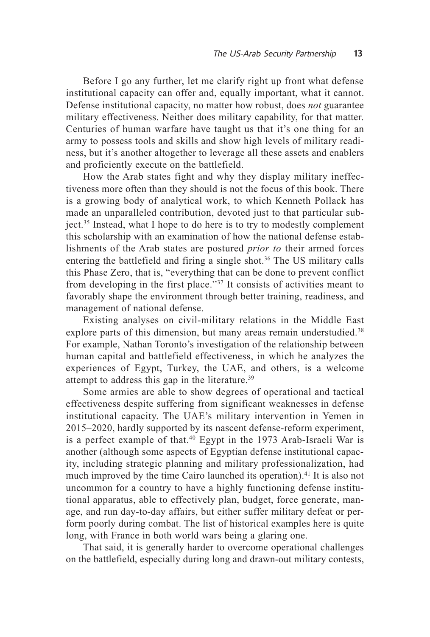Before I go any further, let me clarify right up front what defense institutional capacity can offer and, equally important, what it cannot. Defense institutional capacity, no matter how robust, does *not* guarantee military effectiveness. Neither does military capability, for that matter. Centuries of human warfare have taught us that it's one thing for an army to possess tools and skills and show high levels of military readiness, but it's another altogether to leverage all these assets and enablers and proficiently execute on the battlefield.

How the Arab states fight and why they display military ineffectiveness more often than they should is not the focus of this book. There is a growing body of analytical work, to which Kenneth Pollack has made an unparalleled contribution, devoted just to that particular subject.35 Instead, what I hope to do here is to try to modestly complement this scholarship with an examination of how the national defense establishments of the Arab states are postured *prior to* their armed forces entering the battlefield and firing a single shot.<sup>36</sup> The US military calls this Phase Zero, that is, "everything that can be done to prevent conflict from developing in the first place."37 It consists of activities meant to favorably shape the environment through better training, readiness, and management of national defense.

Existing analyses on civil-military relations in the Middle East explore parts of this dimension, but many areas remain understudied.<sup>38</sup> For example, Nathan Toronto's investigation of the relationship between human capital and battlefield effectiveness, in which he analyzes the experiences of Egypt, Turkey, the UAE, and others, is a welcome attempt to address this gap in the literature.39

Some armies are able to show degrees of operational and tactical effectiveness despite suffering from significant weaknesses in defense institutional capacity. The UAE's military intervention in Yemen in 2015–2020, hardly supported by its nascent defense-reform experiment, is a perfect example of that.<sup>40</sup> Egypt in the 1973 Arab-Israeli War is another (although some aspects of Egyptian defense institutional capacity, including strategic planning and military professionalization, had much improved by the time Cairo launched its operation).<sup>41</sup> It is also not uncommon for a country to have a highly functioning defense institutional apparatus, able to effectively plan, budget, force generate, manage, and run day-to-day affairs, but either suffer military defeat or perform poorly during combat. The list of historical examples here is quite long, with France in both world wars being a glaring one.

That said, it is generally harder to overcome operational challenges on the battlefield, especially during long and drawn-out military contests,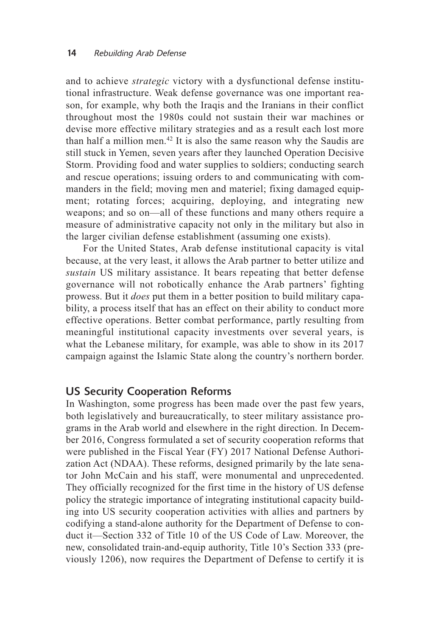and to achieve *strategic* victory with a dysfunctional defense institutional infrastructure. Weak defense governance was one important reason, for example, why both the Iraqis and the Iranians in their conflict throughout most the 1980s could not sustain their war machines or devise more effective military strategies and as a result each lost more than half a million men.42 It is also the same reason why the Saudis are still stuck in Yemen, seven years after they launched Operation Decisive Storm. Providing food and water supplies to soldiers; conducting search and rescue operations; issuing orders to and communicating with commanders in the field; moving men and materiel; fixing damaged equipment; rotating forces; acquiring, deploying, and integrating new weapons; and so on—all of these functions and many others require a measure of administrative capacity not only in the military but also in the larger civilian defense establishment (assuming one exists).

For the United States, Arab defense institutional capacity is vital because, at the very least, it allows the Arab partner to better utilize and *sustain* US military assistance. It bears repeating that better defense governance will not robotically enhance the Arab partners' fighting prowess. But it *does* put them in a better position to build military capability, a process itself that has an effect on their ability to conduct more effective operations. Better combat performance, partly resulting from meaningful institutional capacity investments over several years, is what the Lebanese military, for example, was able to show in its 2017 campaign against the Islamic State along the country's northern border.

#### US Security Cooperation Reforms

In Washington, some progress has been made over the past few years, both legislatively and bureaucratically, to steer military assistance programs in the Arab world and elsewhere in the right direction. In December 2016, Congress formulated a set of security cooperation reforms that were published in the Fiscal Year (FY) 2017 National Defense Authorization Act (NDAA). These reforms, designed primarily by the late senator John McCain and his staff, were monumental and unprecedented. They officially recognized for the first time in the history of US defense policy the strategic importance of integrating institutional capacity building into US security cooperation activities with allies and partners by codifying a stand-alone authority for the Department of Defense to conduct it—Section 332 of Title 10 of the US Code of Law. Moreover, the new, consolidated train-and-equip authority, Title 10's Section 333 (previously 1206), now requires the Department of Defense to certify it is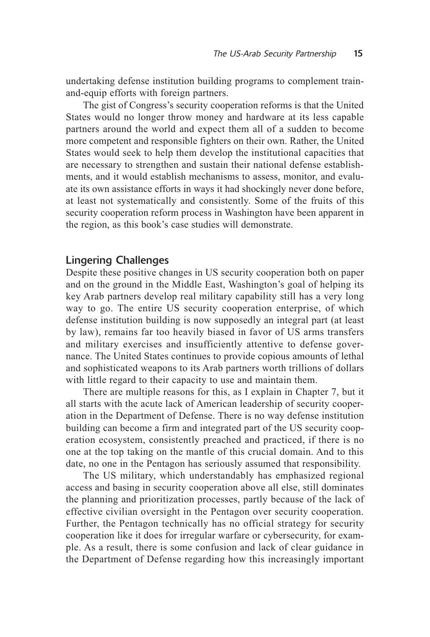undertaking defense institution building programs to complement trainand-equip efforts with foreign partners.

The gist of Congress's security cooperation reforms is that the United States would no longer throw money and hardware at its less capable partners around the world and expect them all of a sudden to become more competent and responsible fighters on their own. Rather, the United States would seek to help them develop the institutional capacities that are necessary to strengthen and sustain their national defense establishments, and it would establish mechanisms to assess, monitor, and evaluate its own assistance efforts in ways it had shockingly never done before, at least not systematically and consistently. Some of the fruits of this security cooperation reform process in Washington have been apparent in the region, as this book's case studies will demonstrate.

#### Lingering Challenges

Despite these positive changes in US security cooperation both on paper and on the ground in the Middle East, Washington's goal of helping its key Arab partners develop real military capability still has a very long way to go. The entire US security cooperation enterprise, of which defense institution building is now supposedly an integral part (at least by law), remains far too heavily biased in favor of US arms transfers and military exercises and insufficiently attentive to defense governance. The United States continues to provide copious amounts of lethal and sophisticated weapons to its Arab partners worth trillions of dollars with little regard to their capacity to use and maintain them.

There are multiple reasons for this, as I explain in Chapter 7, but it all starts with the acute lack of American leadership of security cooperation in the Department of Defense. There is no way defense institution building can become a firm and integrated part of the US security cooperation ecosystem, consistently preached and practiced, if there is no one at the top taking on the mantle of this crucial domain. And to this date, no one in the Pentagon has seriously assumed that responsibility.

The US military, which understandably has emphasized regional access and basing in security cooperation above all else, still dominates the planning and prioritization processes, partly because of the lack of effective civilian oversight in the Pentagon over security cooperation. Further, the Pentagon technically has no official strategy for security cooperation like it does for irregular warfare or cybersecurity, for example. As a result, there is some confusion and lack of clear guidance in the Department of Defense regarding how this increasingly important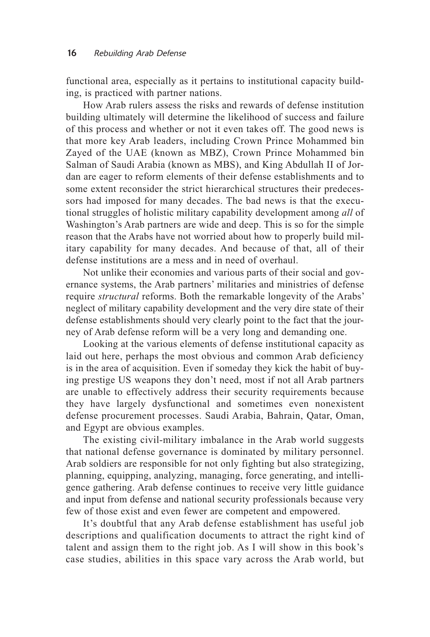functional area, especially as it pertains to institutional capacity building, is practiced with partner nations.

How Arab rulers assess the risks and rewards of defense institution building ultimately will determine the likelihood of success and failure of this process and whether or not it even takes off. The good news is that more key Arab leaders, including Crown Prince Mohammed bin Zayed of the UAE (known as MBZ), Crown Prince Mohammed bin Salman of Saudi Arabia (known as MBS), and King Abdullah II of Jordan are eager to reform elements of their defense establishments and to some extent reconsider the strict hierarchical structures their predecessors had imposed for many decades. The bad news is that the executional struggles of holistic military capability development among *all* of Washington's Arab partners are wide and deep. This is so for the simple reason that the Arabs have not worried about how to properly build military capability for many decades. And because of that, all of their defense institutions are a mess and in need of overhaul.

Not unlike their economies and various parts of their social and governance systems, the Arab partners' militaries and ministries of defense require *structural* reforms. Both the remarkable longevity of the Arabs' neglect of military capability development and the very dire state of their defense establishments should very clearly point to the fact that the journey of Arab defense reform will be a very long and demanding one.

Looking at the various elements of defense institutional capacity as laid out here, perhaps the most obvious and common Arab deficiency is in the area of acquisition. Even if someday they kick the habit of buying prestige US weapons they don't need, most if not all Arab partners are unable to effectively address their security requirements because they have largely dysfunctional and sometimes even nonexistent defense procurement processes. Saudi Arabia, Bahrain, Qatar, Oman, and Egypt are obvious examples.

The existing civil-military imbalance in the Arab world suggests that national defense governance is dominated by military personnel. Arab soldiers are responsible for not only fighting but also strategizing, planning, equipping, analyzing, managing, force generating, and intelligence gathering. Arab defense continues to receive very little guidance and input from defense and national security professionals because very few of those exist and even fewer are competent and empowered.

It's doubtful that any Arab defense establishment has useful job descriptions and qualification documents to attract the right kind of talent and assign them to the right job. As I will show in this book's case studies, abilities in this space vary across the Arab world, but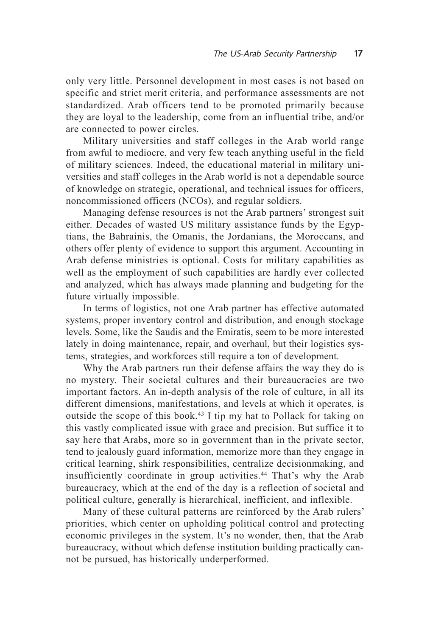only very little. Personnel development in most cases is not based on specific and strict merit criteria, and performance assessments are not standardized. Arab officers tend to be promoted primarily because they are loyal to the leadership, come from an influential tribe, and/or are connected to power circles.

Military universities and staff colleges in the Arab world range from awful to mediocre, and very few teach anything useful in the field of military sciences. Indeed, the educational material in military universities and staff colleges in the Arab world is not a dependable source of knowledge on strategic, operational, and technical issues for officers, noncommissioned officers (NCOs), and regular soldiers.

Managing defense resources is not the Arab partners' strongest suit either. Decades of wasted US military assistance funds by the Egyptians, the Bahrainis, the Omanis, the Jordanians, the Moroccans, and others offer plenty of evidence to support this argument. Accounting in Arab defense ministries is optional. Costs for military capabilities as well as the employment of such capabilities are hardly ever collected and analyzed, which has always made planning and budgeting for the future virtually impossible.

In terms of logistics, not one Arab partner has effective automated systems, proper inventory control and distribution, and enough stockage levels. Some, like the Saudis and the Emiratis, seem to be more interested lately in doing maintenance, repair, and overhaul, but their logistics systems, strategies, and workforces still require a ton of development.

Why the Arab partners run their defense affairs the way they do is no mystery. Their societal cultures and their bureaucracies are two important factors. An in-depth analysis of the role of culture, in all its different dimensions, manifestations, and levels at which it operates, is outside the scope of this book.43 I tip my hat to Pollack for taking on this vastly complicated issue with grace and precision. But suffice it to say here that Arabs, more so in government than in the private sector, tend to jealously guard information, memorize more than they engage in critical learning, shirk responsibilities, centralize decisionmaking, and insufficiently coordinate in group activities.<sup>44</sup> That's why the Arab bureaucracy, which at the end of the day is a reflection of societal and political culture, generally is hierarchical, inefficient, and inflexible.

Many of these cultural patterns are reinforced by the Arab rulers' priorities, which center on upholding political control and protecting economic privileges in the system. It's no wonder, then, that the Arab bureaucracy, without which defense institution building practically cannot be pursued, has historically underperformed.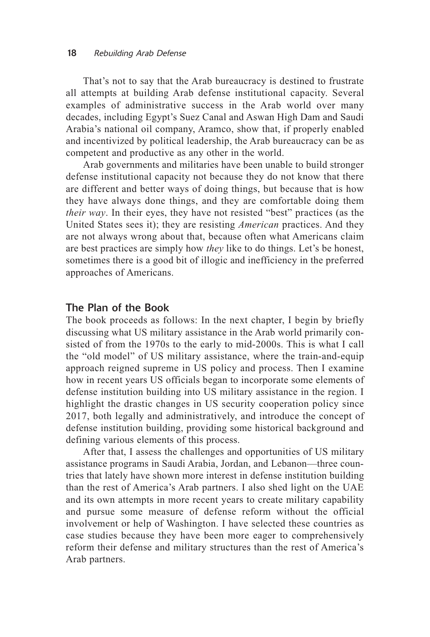That's not to say that the Arab bureaucracy is destined to frustrate all attempts at building Arab defense institutional capacity. Several examples of administrative success in the Arab world over many decades, including Egypt's Suez Canal and Aswan High Dam and Saudi Arabia's national oil company, Aramco, show that, if properly enabled and incentivized by political leadership, the Arab bureaucracy can be as competent and productive as any other in the world.

Arab governments and militaries have been unable to build stronger defense institutional capacity not because they do not know that there are different and better ways of doing things, but because that is how they have always done things, and they are comfortable doing them *their way*. In their eyes, they have not resisted "best" practices (as the United States sees it); they are resisting *American* practices. And they are not always wrong about that, because often what Americans claim are best practices are simply how *they* like to do things. Let's be honest, sometimes there is a good bit of illogic and inefficiency in the preferred approaches of Americans.

#### The Plan of the Book

The book proceeds as follows: In the next chapter, I begin by briefly discussing what US military assistance in the Arab world primarily consisted of from the 1970s to the early to mid-2000s. This is what I call the "old model" of US military assistance, where the train-and-equip approach reigned supreme in US policy and process. Then I examine how in recent years US officials began to incorporate some elements of defense institution building into US military assistance in the region. I highlight the drastic changes in US security cooperation policy since 2017, both legally and administratively, and introduce the concept of defense institution building, providing some historical background and defining various elements of this process.

After that, I assess the challenges and opportunities of US military assistance programs in Saudi Arabia, Jordan, and Lebanon—three countries that lately have shown more interest in defense institution building than the rest of America's Arab partners. I also shed light on the UAE and its own attempts in more recent years to create military capability and pursue some measure of defense reform without the official involvement or help of Washington. I have selected these countries as case studies because they have been more eager to comprehensively reform their defense and military structures than the rest of America's Arab partners.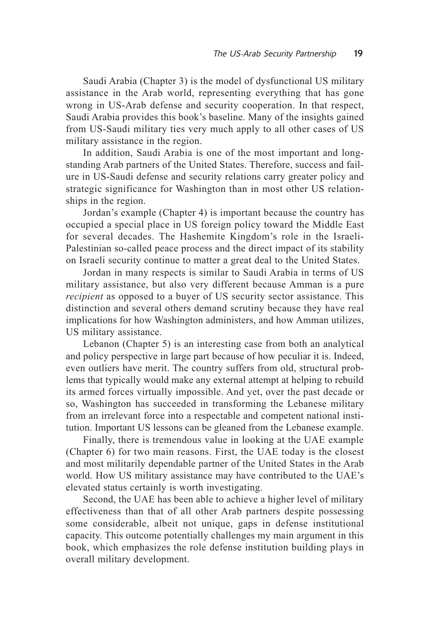Saudi Arabia (Chapter 3) is the model of dysfunctional US military assistance in the Arab world, representing everything that has gone wrong in US-Arab defense and security cooperation. In that respect, Saudi Arabia provides this book's baseline. Many of the insights gained from US-Saudi military ties very much apply to all other cases of US military assistance in the region.

In addition, Saudi Arabia is one of the most important and longstanding Arab partners of the United States. Therefore, success and failure in US-Saudi defense and security relations carry greater policy and strategic significance for Washington than in most other US relationships in the region.

Jordan's example (Chapter 4) is important because the country has occupied a special place in US foreign policy toward the Middle East for several decades. The Hashemite Kingdom's role in the Israeli-Palestinian so-called peace process and the direct impact of its stability on Israeli security continue to matter a great deal to the United States.

Jordan in many respects is similar to Saudi Arabia in terms of US military assistance, but also very different because Amman is a pure *recipient* as opposed to a buyer of US security sector assistance. This distinction and several others demand scrutiny because they have real implications for how Washington administers, and how Amman utilizes, US military assistance.

Lebanon (Chapter 5) is an interesting case from both an analytical and policy perspective in large part because of how peculiar it is. Indeed, even outliers have merit. The country suffers from old, structural problems that typically would make any external attempt at helping to rebuild its armed forces virtually impossible. And yet, over the past decade or so, Washington has succeeded in transforming the Lebanese military from an irrelevant force into a respectable and competent national institution. Important US lessons can be gleaned from the Lebanese example.

Finally, there is tremendous value in looking at the UAE example (Chapter 6) for two main reasons. First, the UAE today is the closest and most militarily dependable partner of the United States in the Arab world. How US military assistance may have contributed to the UAE's elevated status certainly is worth investigating.

Second, the UAE has been able to achieve a higher level of military effectiveness than that of all other Arab partners despite possessing some considerable, albeit not unique, gaps in defense institutional capacity. This outcome potentially challenges my main argument in this book, which emphasizes the role defense institution building plays in overall military development.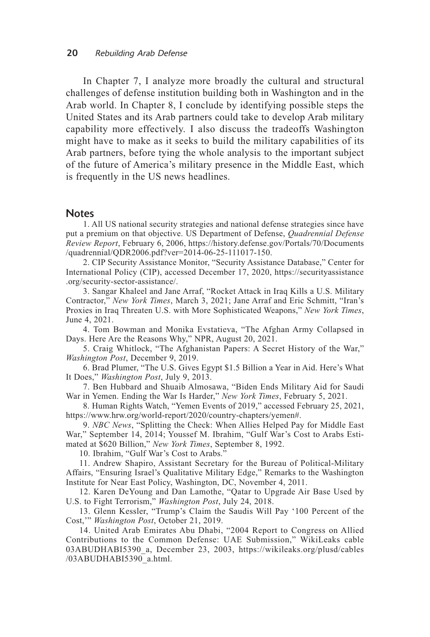In Chapter 7, I analyze more broadly the cultural and structural challenges of defense institution building both in Washington and in the Arab world. In Chapter 8, I conclude by identifying possible steps the United States and its Arab partners could take to develop Arab military capability more effectively. I also discuss the tradeoffs Washington might have to make as it seeks to build the military capabilities of its Arab partners, before tying the whole analysis to the important subject of the future of America's military presence in the Middle East, which is frequently in the US news headlines.

#### **Notes**

1. All US national security strategies and national defense strategies since have put a premium on that objective. US Department of Defense, *Quadrennial Defense Review Report*, February 6, 2006, https://history.defense.gov/Portals/70/Documents /quadrennial/QDR2006.pdf?ver=2014-06-25-111017-150.

2. CIP Security Assistance Monitor, "Security Assistance Database," Center for International Policy (CIP), accessed December 17, 2020, https://securityassistance .org/security-sector-assistance/.

3. Sangar Khaleel and Jane Arraf, "Rocket Attack in Iraq Kills a U.S. Military Contractor," *New York Times*, March 3, 2021; Jane Arraf and Eric Schmitt, "Iran's Proxies in Iraq Threaten U.S. with More Sophisticated Weapons," *New York Times*, June 4, 2021.

4. Tom Bowman and Monika Evstatieva, "The Afghan Army Collapsed in Days. Here Are the Reasons Why," NPR, August 20, 2021.

5. Craig Whitlock, "The Afghanistan Papers: A Secret History of the War," *Washington Post*, December 9, 2019.

6. Brad Plumer, "The U.S. Gives Egypt \$1.5 Billion a Year in Aid. Here's What It Does," *Washington Post*, July 9, 2013.

7. Ben Hubbard and Shuaib Almosawa, "Biden Ends Military Aid for Saudi War in Yemen. Ending the War Is Harder," *New York Times*, February 5, 2021.

8. Human Rights Watch, "Yemen Events of 2019," accessed February 25, 2021, https://www.hrw.org/world-report/2020/country-chapters/yemen#.

9. *NBC News*, "Splitting the Check: When Allies Helped Pay for Middle East War," September 14, 2014; Youssef M. Ibrahim, "Gulf War's Cost to Arabs Estimated at \$620 Billion," *New York Times*, September 8, 1992.

10. Ibrahim, "Gulf War's Cost to Arabs."

11. Andrew Shapiro, Assistant Secretary for the Bureau of Political-Military Affairs, "Ensuring Israel's Qualitative Military Edge," Remarks to the Washington Institute for Near East Policy, Washington, DC, November 4, 2011.

12. Karen DeYoung and Dan Lamothe, "Qatar to Upgrade Air Base Used by U.S. to Fight Terrorism," *Washington Post*, July 24, 2018.

13. Glenn Kessler, "Trump's Claim the Saudis Will Pay '100 Percent of the Cost,'" *Washington Post*, October 21, 2019.

14. United Arab Emirates Abu Dhabi, "2004 Report to Congress on Allied Contributions to the Common Defense: UAE Submission," WikiLeaks cable 03ABUDHABI5390\_a, December 23, 2003, https://wikileaks.org/plusd/cables /03ABUDHABI5390\_a.html.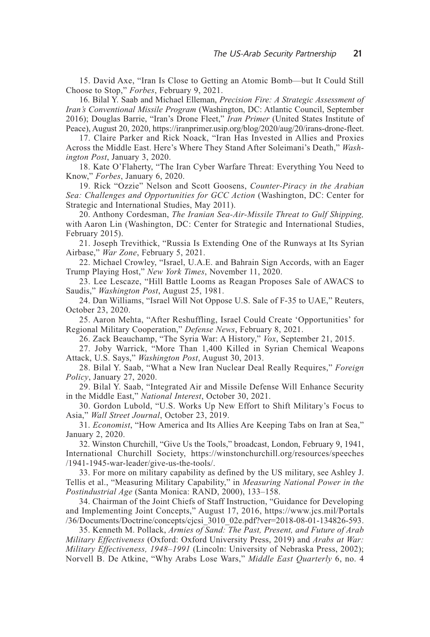15. David Axe, "Iran Is Close to Getting an Atomic Bomb—but It Could Still Choose to Stop," *Forbes*, February 9, 2021.

16. Bilal Y. Saab and Michael Elleman, *Precision Fire: A Strategic Assessment of Iran's Conventional Missile Program* (Washington, DC: Atlantic Council, September 2016); Douglas Barrie, "Iran's Drone Fleet," *Iran Primer* (United States Institute of Peace), August 20, 2020, https://iranprimer.usip.org/blog/2020/aug/20/irans-drone-fleet.

17. Claire Parker and Rick Noack, "Iran Has Invested in Allies and Proxies Across the Middle East. Here's Where They Stand After Soleimani's Death," *Washington Post*, January 3, 2020.

18. Kate O'Flaherty, "The Iran Cyber Warfare Threat: Everything You Need to Know," *Forbes*, January 6, 2020.

19. Rick "Ozzie" Nelson and Scott Goosens, *Counter-Piracy in the Arabian Sea: Challenges and Opportunities for GCC Action* (Washington, DC: Center for Strategic and International Studies, May 2011).

20. Anthony Cordesman, *The Iranian Sea-Air-Missile Threat to Gulf Shipping,* with Aaron Lin (Washington, DC: Center for Strategic and International Studies, February 2015).

21. Joseph Trevithick, "Russia Is Extending One of the Runways at Its Syrian Airbase," *War Zone*, February 5, 2021.

22. Michael Crowley, "Israel, U.A.E. and Bahrain Sign Accords, with an Eager Trump Playing Host," *New York Times*, November 11, 2020.

23. Lee Lescaze, "Hill Battle Looms as Reagan Proposes Sale of AWACS to Saudis," *Washington Post*, August 25, 1981.

24. Dan Williams, "Israel Will Not Oppose U.S. Sale of F-35 to UAE," Reuters, October 23, 2020.

25. Aaron Mehta, "After Reshuffling, Israel Could Create 'Opportunities' for Regional Military Cooperation," *Defense News*, February 8, 2021.

26. Zack Beauchamp, "The Syria War: A History," *Vox*, September 21, 2015.

27. Joby Warrick, "More Than 1,400 Killed in Syrian Chemical Weapons Attack, U.S. Says," *Washington Post*, August 30, 2013.

28. Bilal Y. Saab, "What a New Iran Nuclear Deal Really Requires," *Foreign Policy*, January 27, 2020.

29. Bilal Y. Saab, "Integrated Air and Missile Defense Will Enhance Security in the Middle East," *National Interest*, October 30, 2021.

30. Gordon Lubold, "U.S. Works Up New Effort to Shift Military's Focus to Asia," *Wall Street Journal*, October 23, 2019.

31. *Economist*, "How America and Its Allies Are Keeping Tabs on Iran at Sea," January 2, 2020.

32. Winston Churchill, "Give Us the Tools," broadcast, London, February 9, 1941, International Churchill Society, https://winstonchurchill.org/resources/speeches /1941-1945-war-leader/give-us-the-tools/.

33. For more on military capability as defined by the US military, see Ashley J. Tellis et al., "Measuring Military Capability," in *Measuring National Power in the Postindustrial Age* (Santa Monica: RAND, 2000), 133–158.

34. Chairman of the Joint Chiefs of Staff Instruction, "Guidance for Developing and Implementing Joint Concepts," August 17, 2016, https://www.jcs.mil/Portals /36/Documents/Doctrine/concepts/cjcsi\_3010\_02e.pdf?ver=2018-08-01-134826-593.

35. Kenneth M. Pollack, *Armies of Sand: The Past, Present, and Future of Arab Military Effectiveness* (Oxford: Oxford University Press, 2019) and *Arabs at War: Military Effectiveness, 1948–1991* (Lincoln: University of Nebraska Press, 2002); Norvell B. De Atkine, "Why Arabs Lose Wars," *Middle East Quarterly* 6, no. 4